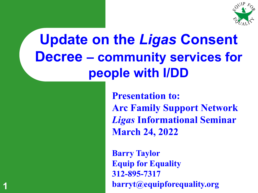

# **Update on the** *Ligas* **Consent Decree – community services for people with I/DD**

**Presentation to: Arc Family Support Network** *Ligas* **Informational Seminar March 24, 2022**

**Barry Taylor Equip for Equality 312-895-7317 barryt@equipforequality.org**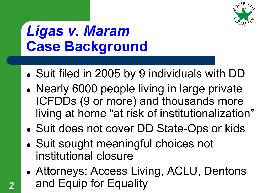

# *Ligas v. Maram* **Case Background**

- Suit filed in 2005 by 9 individuals with DD
- Nearly 6000 people living in large private ICFDDs (9 or more) and thousands more living at home "at risk of institutionalization"
- Suit does not cover DD State-Ops or kids
- Suit sought meaningful choices not institutional closure
- Attorneys: Access Living, ACLU, Dentons and Equip for Equality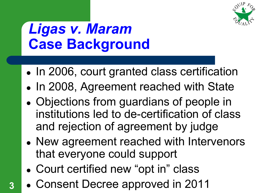

# *Ligas v. Maram* **Case Background**

- In 2006, court granted class certification
- In 2008, Agreement reached with State
- Objections from guardians of people in institutions led to de-certification of class and rejection of agreement by judge
- New agreement reached with Intervenors that everyone could support
- Court certified new "opt in" class
- Consent Decree approved in 2011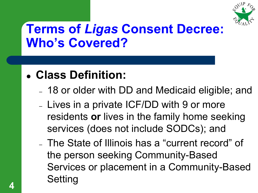

# **Terms of** *Ligas* **Consent Decree: Who's Covered?**

#### **Class Definition:**

- 18 or older with DD and Medicaid eligible; and
- Lives in a private ICF/DD with 9 or more residents **or** lives in the family home seeking services (does not include SODCs); and
- The State of Illinois has a "current record" of the person seeking Community-Based Services or placement in a Community-Based **Setting**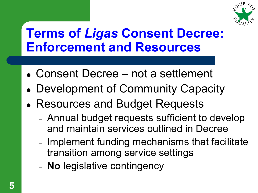

#### **Terms of** *Ligas* **Consent Decree: Enforcement and Resources**

- Consent Decree not a settlement
- Development of Community Capacity
- Resources and Budget Requests
	- Annual budget requests sufficient to develop and maintain services outlined in Decree
	- Implement funding mechanisms that facilitate transition among service settings
	- **No** legislative contingency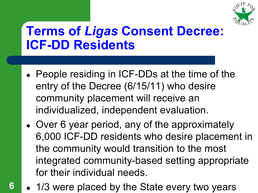

#### **Terms of** *Ligas* **Consent Decree: ICF-DD Residents**

- People residing in ICF-DDs at the time of the entry of the Decree (6/15/11) who desire community placement will receive an individualized, independent evaluation.
- Over 6 year period, any of the approximately 6,000 ICF-DD residents who desire placement in the community would transition to the most integrated community-based setting appropriate for their individual needs.
- 1/3 were placed by the State every two years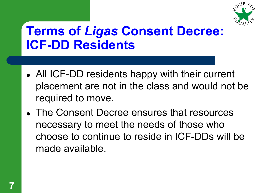

#### **Terms of** *Ligas* **Consent Decree: ICF-DD Residents**

- All ICF-DD residents happy with their current placement are not in the class and would not be required to move.
- The Consent Decree ensures that resources necessary to meet the needs of those who choose to continue to reside in ICF-DDs will be made available.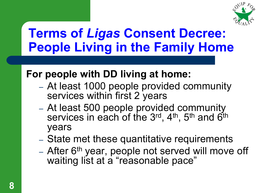

#### **Terms of** *Ligas* **Consent Decree: People Living in the Family Home**

#### **For people with DD living at home:**

- At least 1000 people provided community services within first 2 years
- At least 500 people provided community services in each of the 3<sup>rd</sup>, 4<sup>th</sup>, 5<sup>th</sup> and 6<sup>th</sup> years
- State met these quantitative requirements
- $-$  After 6<sup>th</sup> year, people not served will move off waiting list at a "reasonable pace"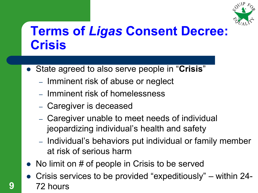

# **Terms of** *Ligas* **Consent Decree: Crisis**

- State agreed to also serve people in "**Crisis**"
	- Imminent risk of abuse or neglect
	- Imminent risk of homelessness
	- Caregiver is deceased

- Caregiver unable to meet needs of individual jeopardizing individual's health and safety
- Individual's behaviors put individual or family member at risk of serious harm
- No limit on # of people in Crisis to be served
- Crisis services to be provided "expeditiously" within 24- 72 hours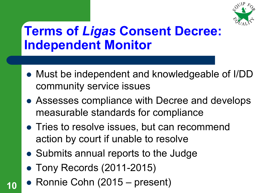

# **Terms of** *Ligas* **Consent Decree: Independent Monitor**

- Must be independent and knowledgeable of I/DD community service issues
- Assesses compliance with Decree and develops measurable standards for compliance
- Tries to resolve issues, but can recommend action by court if unable to resolve
- Submits annual reports to the Judge
- Tony Records (2011-2015)

**10**

Ronnie Cohn (2015 – present)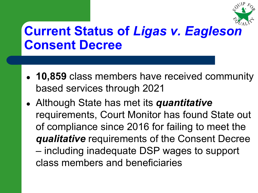

#### **Current Status of** *Ligas v. Eagleson*  **Consent Decree**

- **10,859** class members have received community based services through 2021
- Although State has met its *quantitative* requirements, Court Monitor has found State out of compliance since 2016 for failing to meet the *qualitative* requirements of the Consent Decree – including inadequate DSP wages to support class members and beneficiaries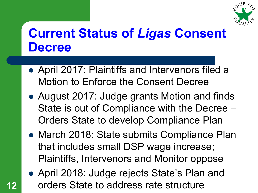

# **Current Status of** *Ligas* **Consent Decree**

- April 2017: Plaintiffs and Intervenors filed a Motion to Enforce the Consent Decree
- August 2017: Judge grants Motion and finds State is out of Compliance with the Decree – Orders State to develop Compliance Plan
- March 2018: State submits Compliance Plan that includes small DSP wage increase; Plaintiffs, Intervenors and Monitor oppose
- April 2018: Judge rejects State's Plan and **12** orders State to address rate structure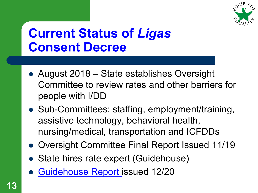

#### **Current Status of** *Ligas* **Consent Decree**

- August 2018 State establishes Oversight Committee to review rates and other barriers for people with I/DD
- Sub-Committees: staffing, employment/training, assistive technology, behavioral health, nursing/medical, transportation and ICFDDs
- Oversight Committee Final Report Issued 11/19
- State hires rate expert (Guidehouse)
- [Guidehouse](https://www.dhs.state.il.us/page.aspx?item=136098&msclkid=8a837f0ea48111ecbbd20a5233a15687) Report issued 12/20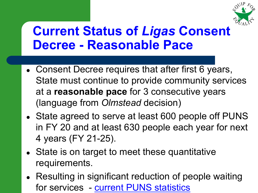

#### **Current Status of** *Ligas* **Consent Decree - Reasonable Pace**

- Consent Decree requires that after first 6 years, State must continue to provide community services at a **reasonable pace** for 3 consecutive years (language from *Olmstead* decision)
- State agreed to serve at least 600 people off PUNS in FY 20 and at least 630 people each year for next 4 years (FY 21-25).
- State is on target to meet these quantitative requirements.
- Resulting in significant reduction of people waiting for services - [current PUNS statistics](https://www.dhs.state.il.us/page.aspx?item=141313)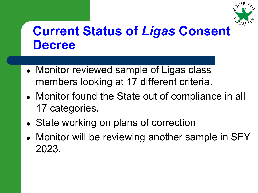

# **Current Status of** *Ligas* **Consent Decree**

- Monitor reviewed sample of Ligas class members looking at 17 different criteria.
- Monitor found the State out of compliance in all 17 categories.
- State working on plans of correction
- Monitor will be reviewing another sample in SFY 2023.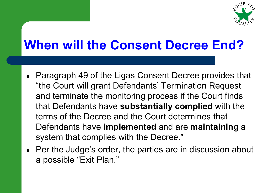

# **When will the Consent Decree End?**

- Paragraph 49 of the Ligas Consent Decree provides that "the Court will grant Defendants' Termination Request and terminate the monitoring process if the Court finds that Defendants have **substantially complied** with the terms of the Decree and the Court determines that Defendants have **implemented** and are **maintaining** a system that complies with the Decree."
- Per the Judge's order, the parties are in discussion about a possible "Exit Plan."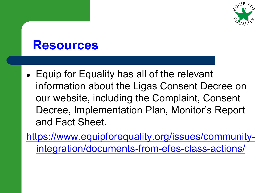

#### **Resources**

- Equip for Equality has all of the relevant information about the Ligas Consent Decree on our website, including the Complaint, Consent Decree, Implementation Plan, Monitor's Report and Fact Sheet.
- [https://www.equipforequality.org/issues/community](https://www.equipforequality.org/issues/community-integration/documents-from-efes-class-actions/)integration/documents-from-efes-class-actions/